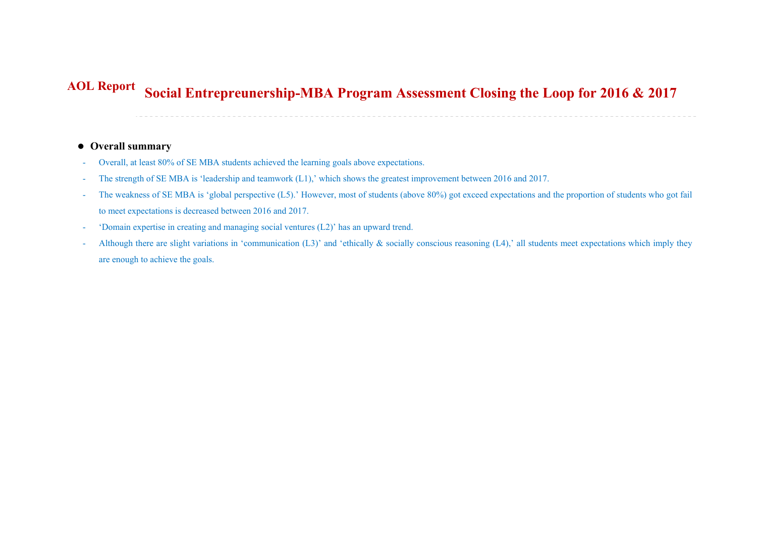## **Social Entrepreunership-MBA Program Assessment Closing the Loop for 2016 & 2017 AOL Report**

## **Overall summary**

- -Overall, at least 80% of SE MBA students achieved the learning goals above expectations.
- -The strength of SE MBA is 'leadership and teamwork (L1),' which shows the greatest improvement between 2016 and 2017.
- - The weakness of SE MBA is 'global perspective (L5).' However, most of students (above 80%) got exceed expectations and the proportion of students who got fail to meet expectations is decreased between 2016 and 2017.
- -'Domain expertise in creating and managing social ventures (L2)' has an upward trend.
- -Although there are slight variations in 'communication (L3)' and 'ethically & socially conscious reasoning (L4),' all students meet expectations which imply they are enough to achieve the goals.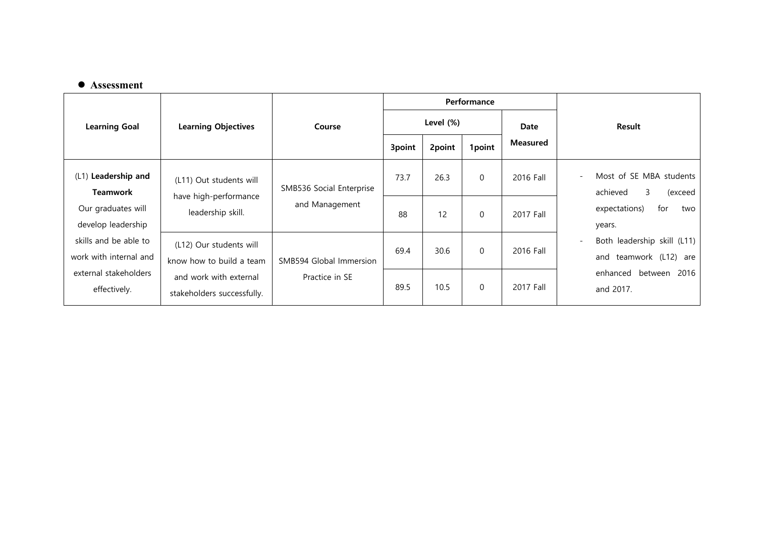## **Assessment**

|                                                 | <b>Learning Objectives</b>                                            | Course                                     | Performance  |        |          |                 |        |                                                                                              |
|-------------------------------------------------|-----------------------------------------------------------------------|--------------------------------------------|--------------|--------|----------|-----------------|--------|----------------------------------------------------------------------------------------------|
| <b>Learning Goal</b>                            |                                                                       |                                            | Level $(\%)$ |        |          | Date            | Result |                                                                                              |
|                                                 |                                                                       |                                            | 3point       | 2point | 1point   | <b>Measured</b> |        |                                                                                              |
| (L1) Leadership and<br><b>Teamwork</b>          | (L11) Out students will<br>have high-performance<br>leadership skill. | SMB536 Social Enterprise<br>and Management | 73.7         | 26.3   | $\Omega$ | 2016 Fall       | $\sim$ | Most of SE MBA students<br>3<br>achieved<br>(exceed<br>for<br>expectations)<br>two<br>years. |
| Our graduates will<br>develop leadership        |                                                                       |                                            | 88           | 12     | $\Omega$ | 2017 Fall       |        |                                                                                              |
| skills and be able to<br>work with internal and | (L12) Our students will<br>know how to build a team                   | SMB594 Global Immersion                    | 69.4         | 30.6   | $\Omega$ | 2016 Fall       |        | Both leadership skill (L11)<br>teamwork (L12)<br>and<br>are                                  |
| external stakeholders<br>effectively.           | and work with external<br>stakeholders successfully.                  | Practice in SE                             | 89.5         | 10.5   | $\Omega$ | 2017 Fall       |        | enhanced between 2016<br>and 2017.                                                           |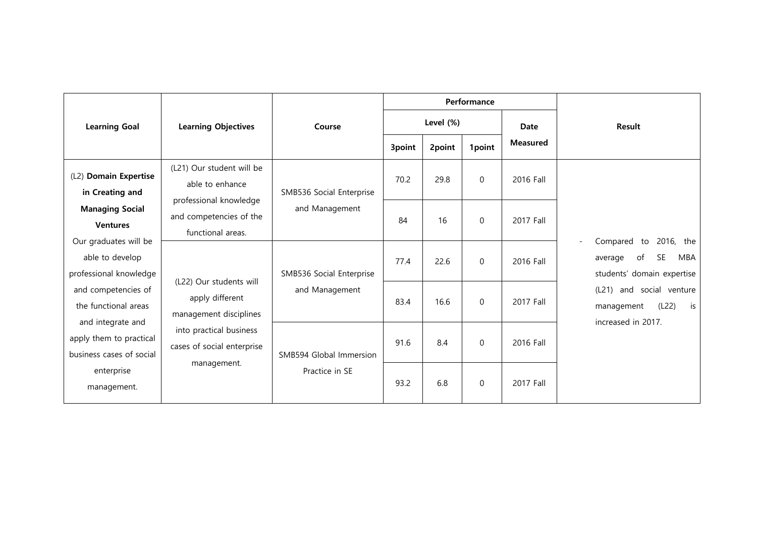|                                                                          | <b>Learning Objectives</b>                                                                                                                   | Course                                     |           |        | Performance  |                 |                                                                                                                                                                               |
|--------------------------------------------------------------------------|----------------------------------------------------------------------------------------------------------------------------------------------|--------------------------------------------|-----------|--------|--------------|-----------------|-------------------------------------------------------------------------------------------------------------------------------------------------------------------------------|
| <b>Learning Goal</b>                                                     |                                                                                                                                              |                                            | Level (%) |        |              | Date            | <b>Result</b>                                                                                                                                                                 |
|                                                                          |                                                                                                                                              |                                            | 3point    | 2point | 1point       | <b>Measured</b> |                                                                                                                                                                               |
| (L2) Domain Expertise<br>in Creating and                                 | (L21) Our student will be<br>able to enhance                                                                                                 | SMB536 Social Enterprise                   | 70.2      | 29.8   | $\Omega$     | 2016 Fall       | 2016, the<br>Compared to<br><b>SE</b><br>of<br>MBA<br>average<br>students' domain expertise<br>and social venture<br>(L21)<br>(L22)<br>is<br>management<br>increased in 2017. |
| <b>Managing Social</b><br><b>Ventures</b>                                | professional knowledge<br>and competencies of the<br>functional areas.                                                                       | and Management                             | 84        | 16     | $\Omega$     | 2017 Fall       |                                                                                                                                                                               |
| Our graduates will be<br>able to develop<br>professional knowledge       | (L22) Our students will<br>apply different<br>management disciplines<br>into practical business<br>cases of social enterprise<br>management. | SMB536 Social Enterprise<br>and Management | 77.4      | 22.6   | $\mathbf{0}$ | 2016 Fall       |                                                                                                                                                                               |
| and competencies of<br>the functional areas                              |                                                                                                                                              |                                            | 83.4      | 16.6   | $\Omega$     | 2017 Fall       |                                                                                                                                                                               |
| and integrate and<br>apply them to practical<br>business cases of social |                                                                                                                                              | SMB594 Global Immersion                    | 91.6      | 8.4    | $\Omega$     | 2016 Fall       |                                                                                                                                                                               |
| enterprise<br>management.                                                |                                                                                                                                              | Practice in SE                             | 93.2      | 6.8    | $\mathbf{0}$ | 2017 Fall       |                                                                                                                                                                               |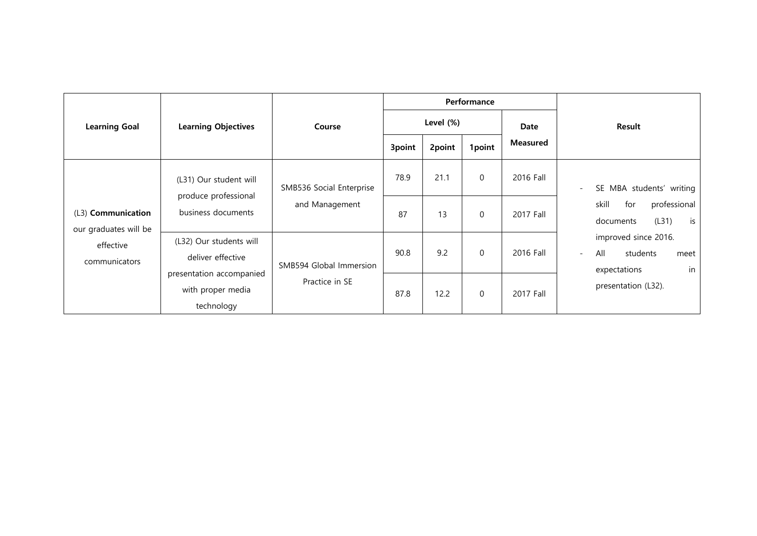|                                                                           | <b>Learning Objectives</b>                                  | Course                                    | Performance |        |              |                 |                                                                                 |
|---------------------------------------------------------------------------|-------------------------------------------------------------|-------------------------------------------|-------------|--------|--------------|-----------------|---------------------------------------------------------------------------------|
| <b>Learning Goal</b>                                                      |                                                             |                                           | Level (%)   |        |              | Date            | Result                                                                          |
|                                                                           |                                                             |                                           | 3point      | 2point | 1point       | <b>Measured</b> |                                                                                 |
| (L3) Communication<br>our graduates will be<br>effective<br>communicators | (L31) Our student will                                      | SMB536 Social Enterprise                  | 78.9        | 21.1   | $\Omega$     | 2016 Fall       | SE MBA students' writing<br>$\sim$                                              |
|                                                                           | produce professional<br>business documents                  | and Management                            | 87          | 13     | $\Omega$     | 2017 Fall       | skill<br>for<br>professional<br>(L31)<br>documents<br>is                        |
|                                                                           | (L32) Our students will<br>deliver effective                | SMB594 Global Immersion<br>Practice in SE | 90.8        | 9.2    | $\Omega$     | 2016 Fall       | improved since 2016.<br>All<br>students<br>meet<br>$\sim$<br>in<br>expectations |
|                                                                           | presentation accompanied<br>with proper media<br>technology |                                           | 87.8        | 12.2   | $\mathbf{0}$ | 2017 Fall       | presentation (L32).                                                             |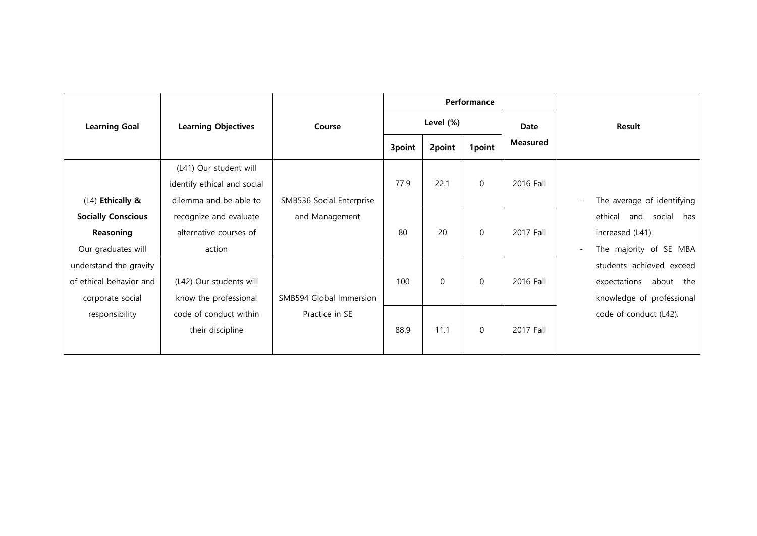|                                                                       | <b>Learning Objectives</b>                                                      | Course                   |           |             | Performance  |                 |                                                                                                                                                                                                |
|-----------------------------------------------------------------------|---------------------------------------------------------------------------------|--------------------------|-----------|-------------|--------------|-----------------|------------------------------------------------------------------------------------------------------------------------------------------------------------------------------------------------|
| <b>Learning Goal</b>                                                  |                                                                                 |                          | Level (%) |             |              | Date            | Result                                                                                                                                                                                         |
|                                                                       |                                                                                 |                          | 3point    | 2point      | 1point       | <b>Measured</b> |                                                                                                                                                                                                |
| (L4) Ethically &                                                      | (L41) Our student will<br>identify ethical and social<br>dilemma and be able to | SMB536 Social Enterprise | 77.9      | 22.1        | $\mathbf 0$  | 2016 Fall       | The average of identifying<br>ethical<br>and social<br>has<br>increased (L41).<br>The majority of SE MBA<br>students achieved exceed<br>expectations<br>about the<br>knowledge of professional |
| <b>Socially Conscious</b><br>Reasoning<br>Our graduates will          | recognize and evaluate<br>alternative courses of<br>action                      | and Management           | 80        | 20          | $\mathbf{0}$ | 2017 Fall       |                                                                                                                                                                                                |
| understand the gravity<br>of ethical behavior and<br>corporate social | (L42) Our students will<br>know the professional                                | SMB594 Global Immersion  | 100       | $\mathbf 0$ | $\mathbf{0}$ | 2016 Fall       |                                                                                                                                                                                                |
| responsibility                                                        | code of conduct within<br>their discipline                                      | Practice in SE           | 88.9      | 11.1        | $\Omega$     | 2017 Fall       | code of conduct (L42).                                                                                                                                                                         |